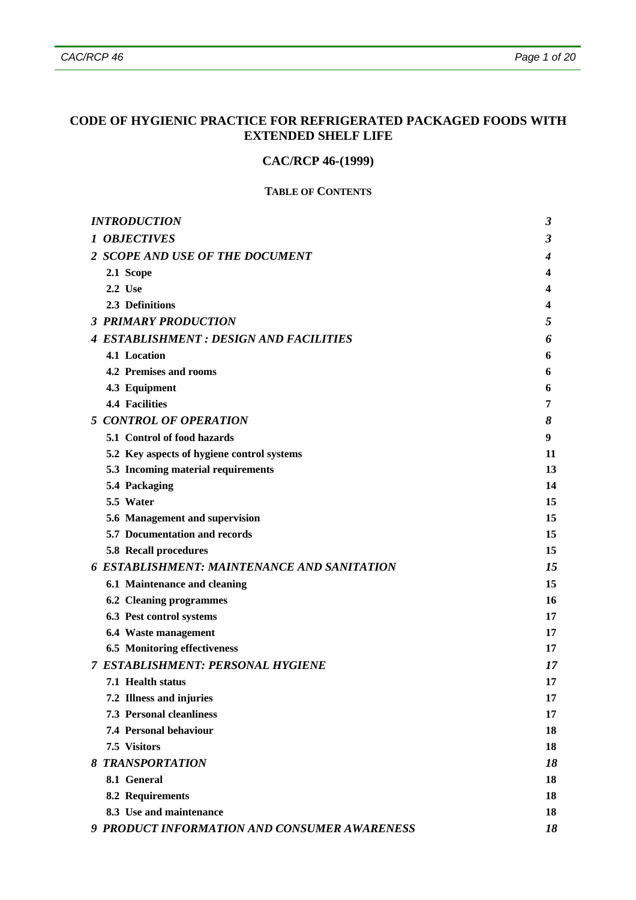# **CODE OF HYGIENIC PRACTICE FOR REFRIGERATED PACKAGED FOODS WITH EXTENDED SHELF LIFE**

# **CAC/RCP 46-(1999)**

### **TABLE OF CONTENTS**

| <b>INTRODUCTION</b>                                | 3  |
|----------------------------------------------------|----|
| <b>1 OBJECTIVES</b>                                | 3  |
| 2 SCOPE AND USE OF THE DOCUMENT                    | 4  |
| 2.1 Scope                                          | 4  |
| 2.2 Use                                            | 4  |
| 2.3 Definitions                                    | 4  |
| <b>3 PRIMARY PRODUCTION</b>                        | 5  |
| <b>4 ESTABLISHMENT : DESIGN AND FACILITIES</b>     | 6  |
| 4.1 Location                                       | 6  |
| 4.2 Premises and rooms                             | 6  |
| 4.3 Equipment                                      | 6  |
| <b>4.4 Facilities</b>                              | 7  |
| <b>5 CONTROL OF OPERATION</b>                      | 8  |
| 5.1 Control of food hazards                        | 9  |
| 5.2 Key aspects of hygiene control systems         | 11 |
| 5.3 Incoming material requirements                 | 13 |
| 5.4 Packaging                                      | 14 |
| 5.5 Water                                          | 15 |
| 5.6 Management and supervision                     | 15 |
| 5.7 Documentation and records                      | 15 |
| 5.8 Recall procedures                              | 15 |
| <b>6 ESTABLISHMENT: MAINTENANCE AND SANITATION</b> | 15 |
| 6.1 Maintenance and cleaning                       | 15 |
| <b>6.2 Cleaning programmes</b>                     | 16 |
| 6.3 Pest control systems                           | 17 |
| 6.4 Waste management                               | 17 |
| <b>6.5 Monitoring effectiveness</b>                | 17 |
| <b>7 ESTABLISHMENT: PERSONAL HYGIENE</b>           | 17 |
| 7.1 Health status                                  | 17 |
| 7.2 Illness and injuries                           | 17 |
| <b>7.3 Personal cleanliness</b>                    | 17 |
| 7.4 Personal behaviour                             | 18 |
| 7.5 Visitors                                       | 18 |
| <b>8 TRANSPORTATION</b>                            | 18 |
| 8.1 General                                        | 18 |
| 8.2 Requirements                                   | 18 |
| 8.3 Use and maintenance                            | 18 |
| 9 PRODUCT INFORMATION AND CONSUMER AWARENESS       | 18 |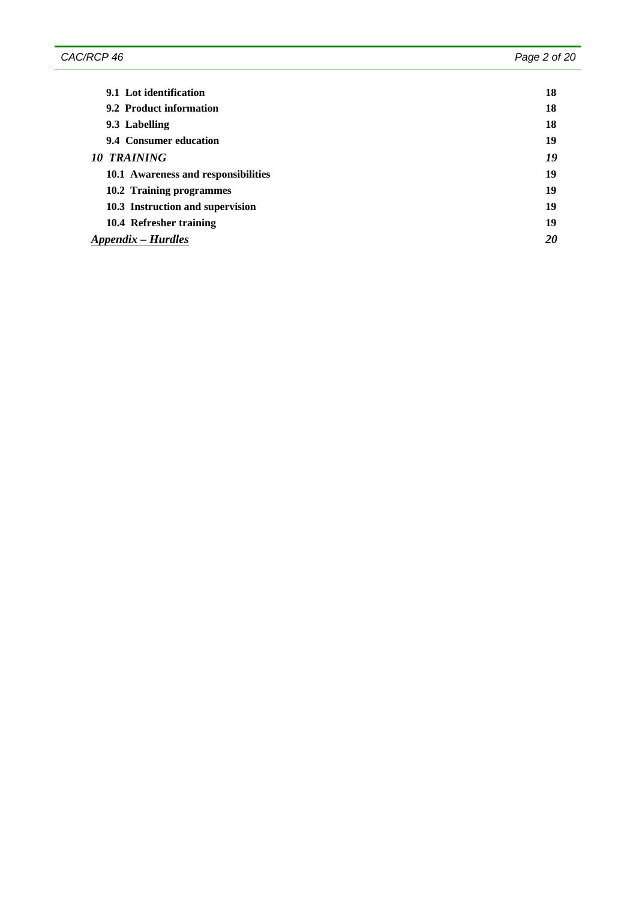| 9.1 Lot identification              | 18 |
|-------------------------------------|----|
| 9.2 Product information             | 18 |
| 9.3 Labelling                       | 18 |
| 9.4 Consumer education              | 19 |
| 10 TRAINING                         | 19 |
| 10.1 Awareness and responsibilities | 19 |
| 10.2 Training programmes            | 19 |
| 10.3 Instruction and supervision    | 19 |
| 10.4 Refresher training             | 19 |
| Appendix – Hurdles                  | 20 |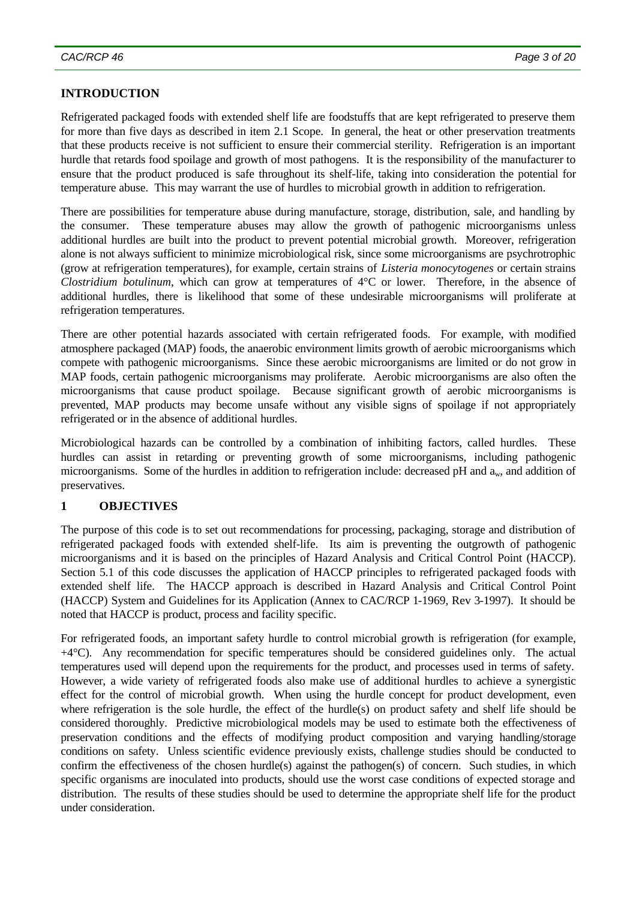# **INTRODUCTION**

Refrigerated packaged foods with extended shelf life are foodstuffs that are kept refrigerated to preserve them for more than five days as described in item 2.1 Scope. In general, the heat or other preservation treatments that these products receive is not sufficient to ensure their commercial sterility. Refrigeration is an important hurdle that retards food spoilage and growth of most pathogens. It is the responsibility of the manufacturer to ensure that the product produced is safe throughout its shelf-life, taking into consideration the potential for temperature abuse. This may warrant the use of hurdles to microbial growth in addition to refrigeration.

There are possibilities for temperature abuse during manufacture, storage, distribution, sale, and handling by the consumer. These temperature abuses may allow the growth of pathogenic microorganisms unless additional hurdles are built into the product to prevent potential microbial growth. Moreover, refrigeration alone is not always sufficient to minimize microbiological risk, since some microorganisms are psychrotrophic (grow at refrigeration temperatures), for example, certain strains of *Listeria monocytogenes* or certain strains *Clostridium botulinum*, which can grow at temperatures of 4°C or lower. Therefore, in the absence of additional hurdles, there is likelihood that some of these undesirable microorganisms will proliferate at refrigeration temperatures.

There are other potential hazards associated with certain refrigerated foods. For example, with modified atmosphere packaged (MAP) foods, the anaerobic environment limits growth of aerobic microorganisms which compete with pathogenic microorganisms. Since these aerobic microorganisms are limited or do not grow in MAP foods, certain pathogenic microorganisms may proliferate. Aerobic microorganisms are also often the microorganisms that cause product spoilage. Because significant growth of aerobic microorganisms is prevented, MAP products may become unsafe without any visible signs of spoilage if not appropriately refrigerated or in the absence of additional hurdles.

Microbiological hazards can be controlled by a combination of inhibiting factors, called hurdles. These hurdles can assist in retarding or preventing growth of some microorganisms, including pathogenic microorganisms. Some of the hurdles in addition to refrigeration include: decreased pH and  $a_w$ , and addition of preservatives.

#### **1 OBJECTIVES**

The purpose of this code is to set out recommendations for processing, packaging, storage and distribution of refrigerated packaged foods with extended shelf-life. Its aim is preventing the outgrowth of pathogenic microorganisms and it is based on the principles of Hazard Analysis and Critical Control Point (HACCP). Section 5.1 of this code discusses the application of HACCP principles to refrigerated packaged foods with extended shelf life. The HACCP approach is described in Hazard Analysis and Critical Control Point (HACCP) System and Guidelines for its Application (Annex to CAC/RCP 1-1969, Rev 3-1997). It should be noted that HACCP is product, process and facility specific.

For refrigerated foods, an important safety hurdle to control microbial growth is refrigeration (for example,  $+4^{\circ}$ C). Any recommendation for specific temperatures should be considered guidelines only. The actual temperatures used will depend upon the requirements for the product, and processes used in terms of safety. However, a wide variety of refrigerated foods also make use of additional hurdles to achieve a synergistic effect for the control of microbial growth. When using the hurdle concept for product development, even where refrigeration is the sole hurdle, the effect of the hurdle(s) on product safety and shelf life should be considered thoroughly. Predictive microbiological models may be used to estimate both the effectiveness of preservation conditions and the effects of modifying product composition and varying handling/storage conditions on safety. Unless scientific evidence previously exists, challenge studies should be conducted to confirm the effectiveness of the chosen hurdle(s) against the pathogen(s) of concern. Such studies, in which specific organisms are inoculated into products, should use the worst case conditions of expected storage and distribution. The results of these studies should be used to determine the appropriate shelf life for the product under consideration.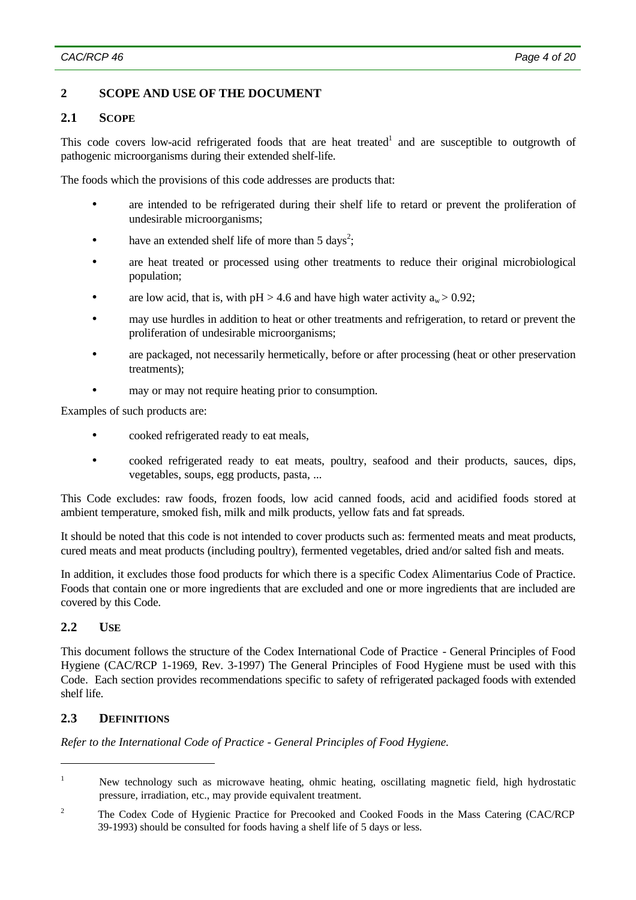# **2 SCOPE AND USE OF THE DOCUMENT**

### **2.1 SCOPE**

This code covers low-acid refrigerated foods that are heat treated<sup>1</sup> and are susceptible to outgrowth of pathogenic microorganisms during their extended shelf-life.

The foods which the provisions of this code addresses are products that:

- are intended to be refrigerated during their shelf life to retard or prevent the proliferation of undesirable microorganisms;
- have an extended shelf life of more than  $5 \text{ days}^2$ ;
- are heat treated or processed using other treatments to reduce their original microbiological population;
- are low acid, that is, with  $pH > 4.6$  and have high water activity  $a_w > 0.92$ ;
- may use hurdles in addition to heat or other treatments and refrigeration, to retard or prevent the proliferation of undesirable microorganisms;
- are packaged, not necessarily hermetically, before or after processing (heat or other preservation treatments);
- may or may not require heating prior to consumption.

Examples of such products are:

- cooked refrigerated ready to eat meals,
- cooked refrigerated ready to eat meats, poultry, seafood and their products, sauces, dips, vegetables, soups, egg products, pasta, ...

This Code excludes: raw foods, frozen foods, low acid canned foods, acid and acidified foods stored at ambient temperature, smoked fish, milk and milk products, yellow fats and fat spreads.

It should be noted that this code is not intended to cover products such as: fermented meats and meat products, cured meats and meat products (including poultry), fermented vegetables, dried and/or salted fish and meats.

In addition, it excludes those food products for which there is a specific Codex Alimentarius Code of Practice. Foods that contain one or more ingredients that are excluded and one or more ingredients that are included are covered by this Code.

## **2.2 USE**

 $\overline{a}$ 

This document follows the structure of the Codex International Code of Practice - General Principles of Food Hygiene (CAC/RCP 1-1969, Rev. 3-1997) The General Principles of Food Hygiene must be used with this Code. Each section provides recommendations specific to safety of refrigerated packaged foods with extended shelf life.

## **2.3 DEFINITIONS**

<sup>&</sup>lt;sup>1</sup> New technology such as microwave heating, ohmic heating, oscillating magnetic field, high hydrostatic pressure, irradiation, etc., may provide equivalent treatment.

<sup>&</sup>lt;sup>2</sup> The Codex Code of Hygienic Practice for Precooked and Cooked Foods in the Mass Catering (CAC/RCP 39-1993) should be consulted for foods having a shelf life of 5 days or less.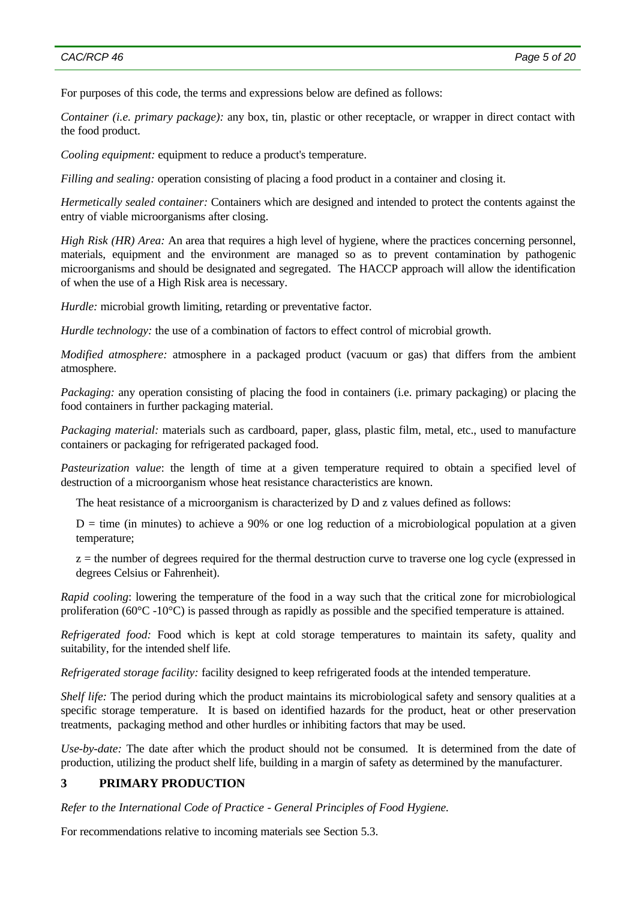#### *CAC/RCP 46 Page 5 of 20*

For purposes of this code, the terms and expressions below are defined as follows:

*Container (i.e. primary package):* any box, tin, plastic or other receptacle, or wrapper in direct contact with the food product.

*Cooling equipment:* equipment to reduce a product's temperature.

*Filling and sealing:* operation consisting of placing a food product in a container and closing it.

*Hermetically sealed container:* Containers which are designed and intended to protect the contents against the entry of viable microorganisms after closing.

*High Risk (HR) Area:* An area that requires a high level of hygiene, where the practices concerning personnel, materials, equipment and the environment are managed so as to prevent contamination by pathogenic microorganisms and should be designated and segregated. The HACCP approach will allow the identification of when the use of a High Risk area is necessary.

*Hurdle:* microbial growth limiting, retarding or preventative factor.

*Hurdle technology:* the use of a combination of factors to effect control of microbial growth.

*Modified atmosphere:* atmosphere in a packaged product (vacuum or gas) that differs from the ambient atmosphere.

*Packaging:* any operation consisting of placing the food in containers (i.e. primary packaging) or placing the food containers in further packaging material.

*Packaging material:* materials such as cardboard, paper, glass, plastic film, metal, etc., used to manufacture containers or packaging for refrigerated packaged food.

*Pasteurization value*: the length of time at a given temperature required to obtain a specified level of destruction of a microorganism whose heat resistance characteristics are known.

The heat resistance of a microorganism is characterized by D and z values defined as follows:

 $D =$  time (in minutes) to achieve a 90% or one log reduction of a microbiological population at a given temperature;

 $z =$  the number of degrees required for the thermal destruction curve to traverse one log cycle (expressed in degrees Celsius or Fahrenheit).

*Rapid cooling*: lowering the temperature of the food in a way such that the critical zone for microbiological proliferation (60°C -10°C) is passed through as rapidly as possible and the specified temperature is attained.

*Refrigerated food:* Food which is kept at cold storage temperatures to maintain its safety, quality and suitability, for the intended shelf life.

*Refrigerated storage facility:* facility designed to keep refrigerated foods at the intended temperature.

*Shelf life:* The period during which the product maintains its microbiological safety and sensory qualities at a specific storage temperature. It is based on identified hazards for the product, heat or other preservation treatments, packaging method and other hurdles or inhibiting factors that may be used.

*Use-by-date:* The date after which the product should not be consumed. It is determined from the date of production, utilizing the product shelf life, building in a margin of safety as determined by the manufacturer.

## **3 PRIMARY PRODUCTION**

*Refer to the International Code of Practice - General Principles of Food Hygiene.*

For recommendations relative to incoming materials see Section 5.3.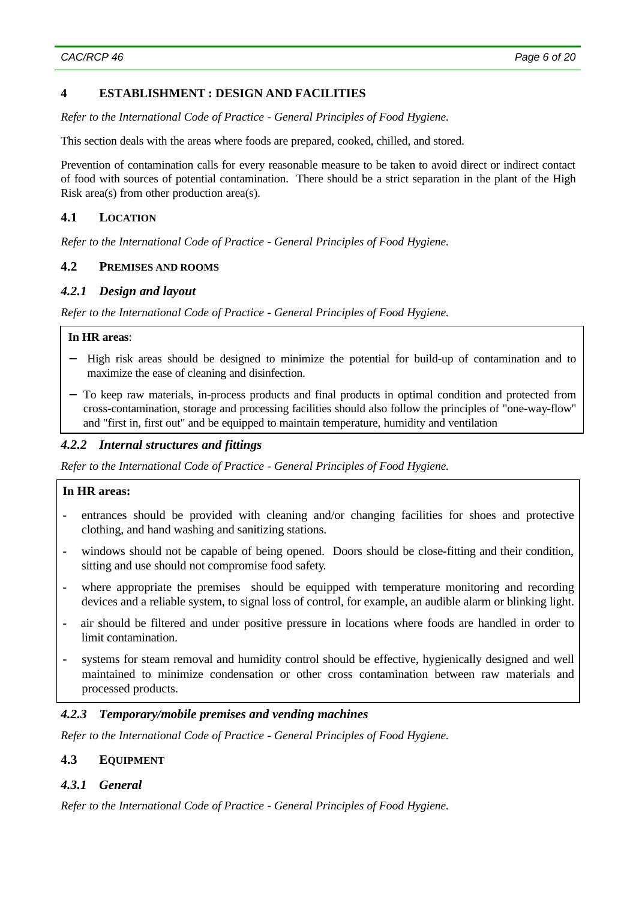## **4 ESTABLISHMENT : DESIGN AND FACILITIES**

*Refer to the International Code of Practice - General Principles of Food Hygiene.*

This section deals with the areas where foods are prepared, cooked, chilled, and stored.

Prevention of contamination calls for every reasonable measure to be taken to avoid direct or indirect contact of food with sources of potential contamination. There should be a strict separation in the plant of the High Risk area(s) from other production area(s).

# **4.1 LOCATION**

*Refer to the International Code of Practice - General Principles of Food Hygiene.*

#### **4.2 PREMISES AND ROOMS**

#### *4.2.1 Design and layout*

*Refer to the International Code of Practice - General Principles of Food Hygiene.*

#### **In HR areas**:

- − High risk areas should be designed to minimize the potential for build-up of contamination and to maximize the ease of cleaning and disinfection.
- − To keep raw materials, in-process products and final products in optimal condition and protected from cross-contamination, storage and processing facilities should also follow the principles of "one-way-flow" and "first in, first out" and be equipped to maintain temperature, humidity and ventilation

### *4.2.2 Internal structures and fittings*

*Refer to the International Code of Practice - General Principles of Food Hygiene.*

#### **In HR areas:**

- entrances should be provided with cleaning and/or changing facilities for shoes and protective clothing, and hand washing and sanitizing stations.
- windows should not be capable of being opened. Doors should be close-fitting and their condition, sitting and use should not compromise food safety.
- where appropriate the premises should be equipped with temperature monitoring and recording devices and a reliable system, to signal loss of control, for example, an audible alarm or blinking light.
- air should be filtered and under positive pressure in locations where foods are handled in order to limit contamination.
- systems for steam removal and humidity control should be effective, hygienically designed and well maintained to minimize condensation or other cross contamination between raw materials and processed products.

### *4.2.3 Temporary/mobile premises and vending machines*

*Refer to the International Code of Practice - General Principles of Food Hygiene.*

#### **4.3 EQUIPMENT**

### *4.3.1 General*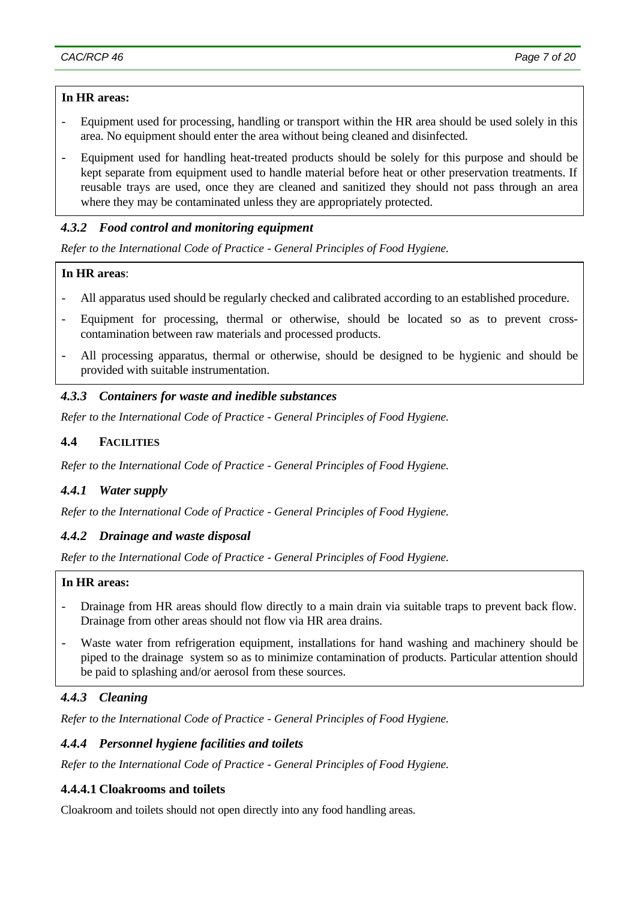#### **In HR areas:**

- Equipment used for processing, handling or transport within the HR area should be used solely in this area. No equipment should enter the area without being cleaned and disinfected.
- Equipment used for handling heat-treated products should be solely for this purpose and should be kept separate from equipment used to handle material before heat or other preservation treatments. If reusable trays are used, once they are cleaned and sanitized they should not pass through an area where they may be contaminated unless they are appropriately protected.

### *4.3.2 Food control and monitoring equipment*

*Refer to the International Code of Practice - General Principles of Food Hygiene.*

### **In HR areas**:

- All apparatus used should be regularly checked and calibrated according to an established procedure.
- Equipment for processing, thermal or otherwise, should be located so as to prevent crosscontamination between raw materials and processed products.
- All processing apparatus, thermal or otherwise, should be designed to be hygienic and should be provided with suitable instrumentation.

## *4.3.3 Containers for waste and inedible substances*

*Refer to the International Code of Practice - General Principles of Food Hygiene.*

#### **4.4 FACILITIES**

*Refer to the International Code of Practice - General Principles of Food Hygiene.*

#### *4.4.1 Water supply*

*Refer to the International Code of Practice - General Principles of Food Hygiene.*

#### *4.4.2 Drainage and waste disposal*

*Refer to the International Code of Practice - General Principles of Food Hygiene.*

#### **In HR areas:**

- Drainage from HR areas should flow directly to a main drain via suitable traps to prevent back flow. Drainage from other areas should not flow via HR area drains.
- Waste water from refrigeration equipment, installations for hand washing and machinery should be piped to the drainage system so as to minimize contamination of products. Particular attention should be paid to splashing and/or aerosol from these sources.

# *4.4.3 Cleaning*

*Refer to the International Code of Practice - General Principles of Food Hygiene.*

### *4.4.4 Personnel hygiene facilities and toilets*

*Refer to the International Code of Practice - General Principles of Food Hygiene.*

#### **4.4.4.1 Cloakrooms and toilets**

Cloakroom and toilets should not open directly into any food handling areas.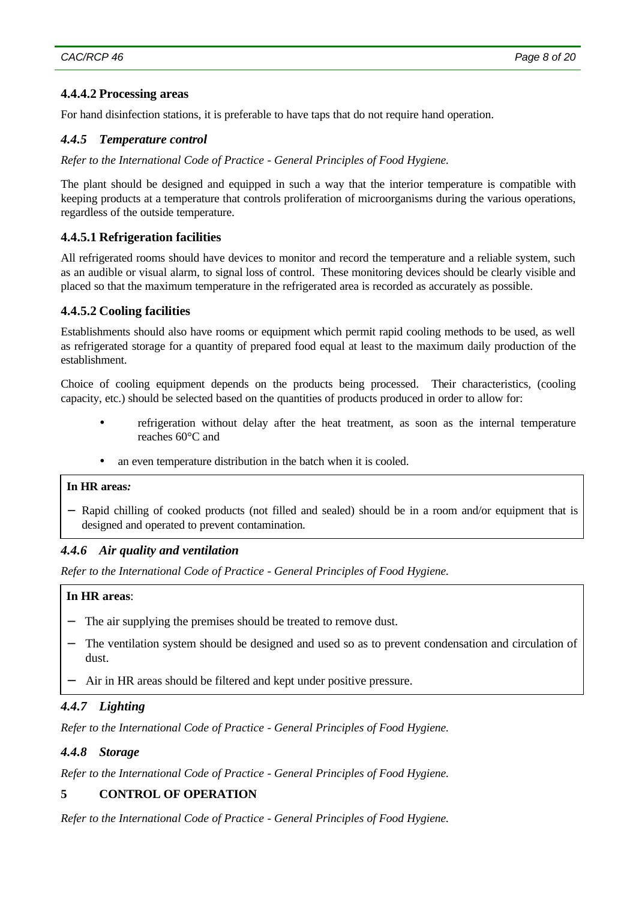## **4.4.4.2 Processing areas**

For hand disinfection stations, it is preferable to have taps that do not require hand operation.

# *4.4.5 Temperature control*

*Refer to the International Code of Practice - General Principles of Food Hygiene.*

The plant should be designed and equipped in such a way that the interior temperature is compatible with keeping products at a temperature that controls proliferation of microorganisms during the various operations, regardless of the outside temperature.

# **4.4.5.1 Refrigeration facilities**

All refrigerated rooms should have devices to monitor and record the temperature and a reliable system, such as an audible or visual alarm, to signal loss of control. These monitoring devices should be clearly visible and placed so that the maximum temperature in the refrigerated area is recorded as accurately as possible.

# **4.4.5.2 Cooling facilities**

Establishments should also have rooms or equipment which permit rapid cooling methods to be used, as well as refrigerated storage for a quantity of prepared food equal at least to the maximum daily production of the establishment.

Choice of cooling equipment depends on the products being processed. Their characteristics, (cooling capacity, etc.) should be selected based on the quantities of products produced in order to allow for:

- refrigeration without delay after the heat treatment, as soon as the internal temperature reaches 60°C and
- an even temperature distribution in the batch when it is cooled.

# **In HR areas***:*

− Rapid chilling of cooked products (not filled and sealed) should be in a room and/or equipment that is designed and operated to prevent contamination*.*

## *4.4.6 Air quality and ventilation*

*Refer to the International Code of Practice - General Principles of Food Hygiene.*

#### **In HR areas**:

- The air supplying the premises should be treated to remove dust.
- The ventilation system should be designed and used so as to prevent condensation and circulation of dust.
- Air in HR areas should be filtered and kept under positive pressure.

## *4.4.7 Lighting*

*Refer to the International Code of Practice - General Principles of Food Hygiene.*

## *4.4.8 Storage*

*Refer to the International Code of Practice - General Principles of Food Hygiene.*

# **5 CONTROL OF OPERATION**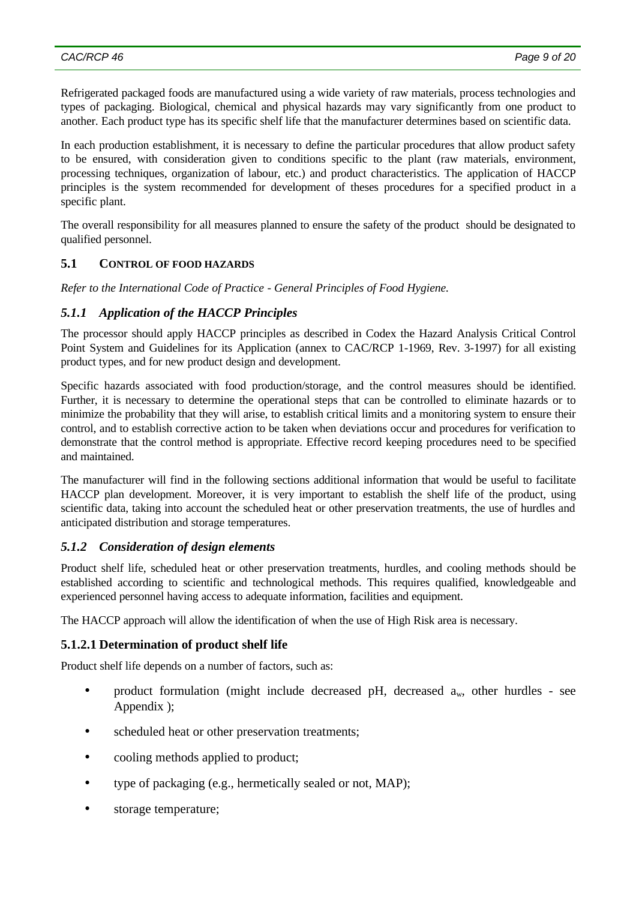Refrigerated packaged foods are manufactured using a wide variety of raw materials, process technologies and types of packaging. Biological, chemical and physical hazards may vary significantly from one product to another. Each product type has its specific shelf life that the manufacturer determines based on scientific data.

In each production establishment, it is necessary to define the particular procedures that allow product safety to be ensured, with consideration given to conditions specific to the plant (raw materials, environment, processing techniques, organization of labour, etc.) and product characteristics. The application of HACCP principles is the system recommended for development of theses procedures for a specified product in a specific plant.

The overall responsibility for all measures planned to ensure the safety of the product should be designated to qualified personnel.

### **5.1 CONTROL OF FOOD HAZARDS**

*Refer to the International Code of Practice - General Principles of Food Hygiene.*

### *5.1.1 Application of the HACCP Principles*

The processor should apply HACCP principles as described in Codex the Hazard Analysis Critical Control Point System and Guidelines for its Application (annex to CAC/RCP 1-1969, Rev. 3-1997) for all existing product types, and for new product design and development.

Specific hazards associated with food production/storage, and the control measures should be identified. Further, it is necessary to determine the operational steps that can be controlled to eliminate hazards or to minimize the probability that they will arise, to establish critical limits and a monitoring system to ensure their control, and to establish corrective action to be taken when deviations occur and procedures for verification to demonstrate that the control method is appropriate. Effective record keeping procedures need to be specified and maintained.

The manufacturer will find in the following sections additional information that would be useful to facilitate HACCP plan development. Moreover, it is very important to establish the shelf life of the product, using scientific data, taking into account the scheduled heat or other preservation treatments, the use of hurdles and anticipated distribution and storage temperatures.

#### *5.1.2 Consideration of design elements*

Product shelf life, scheduled heat or other preservation treatments, hurdles, and cooling methods should be established according to scientific and technological methods. This requires qualified, knowledgeable and experienced personnel having access to adequate information, facilities and equipment.

The HACCP approach will allow the identification of when the use of High Risk area is necessary.

#### **5.1.2.1 Determination of product shelf life**

Product shelf life depends on a number of factors, such as:

- product formulation (might include decreased pH, decreased  $a_w$ , other hurdles see Appendix );
- scheduled heat or other preservation treatments;
- cooling methods applied to product;
- type of packaging (e.g., hermetically sealed or not, MAP);
- storage temperature;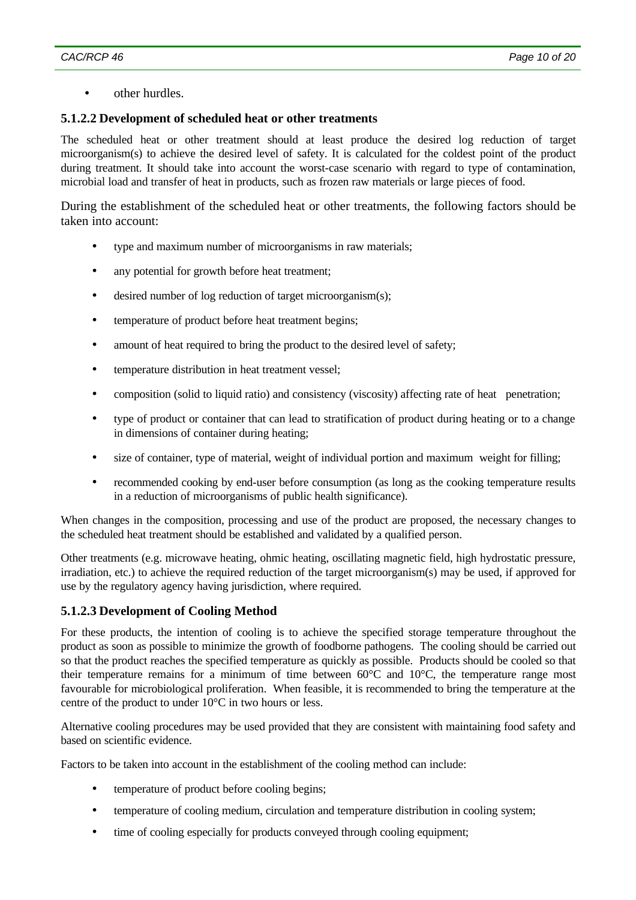• other hurdles.

## **5.1.2.2 Development of scheduled heat or other treatments**

The scheduled heat or other treatment should at least produce the desired log reduction of target microorganism(s) to achieve the desired level of safety. It is calculated for the coldest point of the product during treatment. It should take into account the worst-case scenario with regard to type of contamination, microbial load and transfer of heat in products, such as frozen raw materials or large pieces of food.

During the establishment of the scheduled heat or other treatments, the following factors should be taken into account:

- type and maximum number of microorganisms in raw materials;
- any potential for growth before heat treatment;
- desired number of log reduction of target microorganism(s);
- temperature of product before heat treatment begins;
- amount of heat required to bring the product to the desired level of safety;
- temperature distribution in heat treatment vessel;
- composition (solid to liquid ratio) and consistency (viscosity) affecting rate of heat penetration;
- type of product or container that can lead to stratification of product during heating or to a change in dimensions of container during heating;
- size of container, type of material, weight of individual portion and maximum weight for filling;
- recommended cooking by end-user before consumption (as long as the cooking temperature results in a reduction of microorganisms of public health significance).

When changes in the composition, processing and use of the product are proposed, the necessary changes to the scheduled heat treatment should be established and validated by a qualified person.

Other treatments (e.g. microwave heating, ohmic heating, oscillating magnetic field, high hydrostatic pressure, irradiation, etc.) to achieve the required reduction of the target microorganism(s) may be used, if approved for use by the regulatory agency having jurisdiction, where required.

#### **5.1.2.3 Development of Cooling Method**

For these products, the intention of cooling is to achieve the specified storage temperature throughout the product as soon as possible to minimize the growth of foodborne pathogens. The cooling should be carried out so that the product reaches the specified temperature as quickly as possible. Products should be cooled so that their temperature remains for a minimum of time between 60°C and 10°C, the temperature range most favourable for microbiological proliferation. When feasible, it is recommended to bring the temperature at the centre of the product to under 10°C in two hours or less.

Alternative cooling procedures may be used provided that they are consistent with maintaining food safety and based on scientific evidence.

Factors to be taken into account in the establishment of the cooling method can include:

- temperature of product before cooling begins;
- temperature of cooling medium, circulation and temperature distribution in cooling system;
- time of cooling especially for products conveyed through cooling equipment;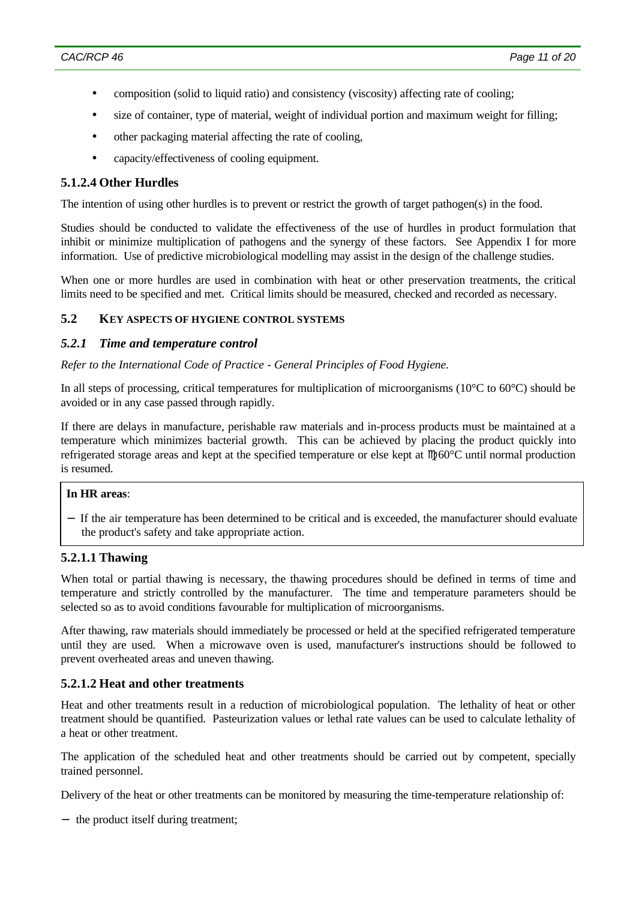- composition (solid to liquid ratio) and consistency (viscosity) affecting rate of cooling;
- size of container, type of material, weight of individual portion and maximum weight for filling;
- other packaging material affecting the rate of cooling,
- capacity/effectiveness of cooling equipment.

### **5.1.2.4 Other Hurdles**

The intention of using other hurdles is to prevent or restrict the growth of target pathogen(s) in the food.

Studies should be conducted to validate the effectiveness of the use of hurdles in product formulation that inhibit or minimize multiplication of pathogens and the synergy of these factors. See Appendix I for more information. Use of predictive microbiological modelling may assist in the design of the challenge studies.

When one or more hurdles are used in combination with heat or other preservation treatments, the critical limits need to be specified and met. Critical limits should be measured, checked and recorded as necessary.

#### **5.2 KEY ASPECTS OF HYGIENE CONTROL SYSTEMS**

#### *5.2.1 Time and temperature control*

*Refer to the International Code of Practice - General Principles of Food Hygiene.*

In all steps of processing, critical temperatures for multiplication of microorganisms (10°C to 60°C) should be avoided or in any case passed through rapidly.

If there are delays in manufacture, perishable raw materials and in-process products must be maintained at a temperature which minimizes bacterial growth. This can be achieved by placing the product quickly into refrigerated storage areas and kept at the specified temperature or else kept at  $M$ 60°C until normal production is resumed.

### **In HR areas**:

− If the air temperature has been determined to be critical and is exceeded, the manufacturer should evaluate the product's safety and take appropriate action.

#### **5.2.1.1 Thawing**

When total or partial thawing is necessary, the thawing procedures should be defined in terms of time and temperature and strictly controlled by the manufacturer. The time and temperature parameters should be selected so as to avoid conditions favourable for multiplication of microorganisms.

After thawing, raw materials should immediately be processed or held at the specified refrigerated temperature until they are used. When a microwave oven is used, manufacturer's instructions should be followed to prevent overheated areas and uneven thawing.

## **5.2.1.2 Heat and other treatments**

Heat and other treatments result in a reduction of microbiological population. The lethality of heat or other treatment should be quantified. Pasteurization values or lethal rate values can be used to calculate lethality of a heat or other treatment.

The application of the scheduled heat and other treatments should be carried out by competent, specially trained personnel.

Delivery of the heat or other treatments can be monitored by measuring the time-temperature relationship of:

− the product itself during treatment;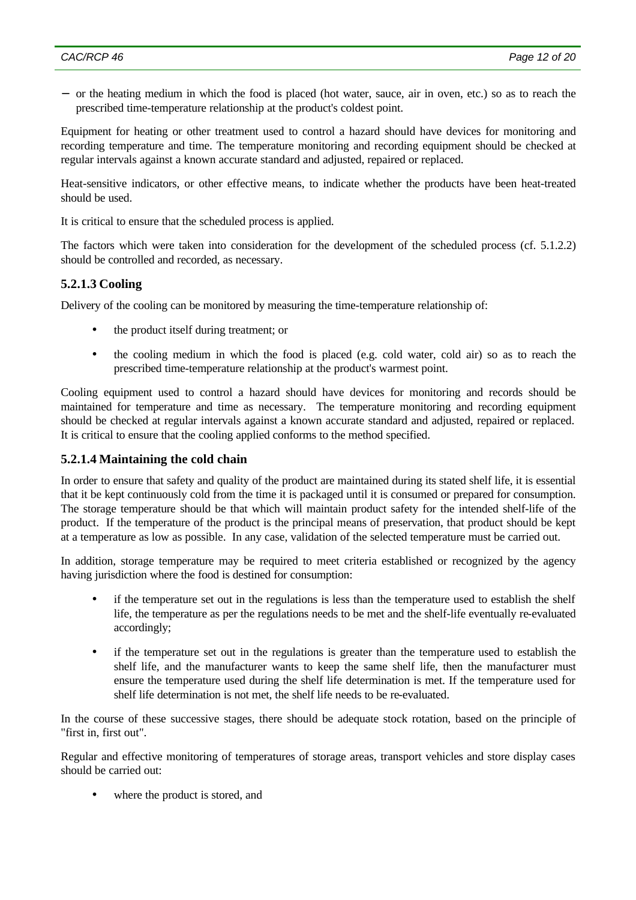− or the heating medium in which the food is placed (hot water, sauce, air in oven, etc.) so as to reach the prescribed time-temperature relationship at the product's coldest point.

Equipment for heating or other treatment used to control a hazard should have devices for monitoring and recording temperature and time. The temperature monitoring and recording equipment should be checked at regular intervals against a known accurate standard and adjusted, repaired or replaced.

Heat-sensitive indicators, or other effective means, to indicate whether the products have been heat-treated should be used.

It is critical to ensure that the scheduled process is applied.

The factors which were taken into consideration for the development of the scheduled process (cf. 5.1.2.2) should be controlled and recorded, as necessary.

### **5.2.1.3 Cooling**

Delivery of the cooling can be monitored by measuring the time-temperature relationship of:

- the product itself during treatment; or
- the cooling medium in which the food is placed (e.g. cold water, cold air) so as to reach the prescribed time-temperature relationship at the product's warmest point.

Cooling equipment used to control a hazard should have devices for monitoring and records should be maintained for temperature and time as necessary. The temperature monitoring and recording equipment should be checked at regular intervals against a known accurate standard and adjusted, repaired or replaced. It is critical to ensure that the cooling applied conforms to the method specified.

#### **5.2.1.4 Maintaining the cold chain**

In order to ensure that safety and quality of the product are maintained during its stated shelf life, it is essential that it be kept continuously cold from the time it is packaged until it is consumed or prepared for consumption. The storage temperature should be that which will maintain product safety for the intended shelf-life of the product. If the temperature of the product is the principal means of preservation, that product should be kept at a temperature as low as possible. In any case, validation of the selected temperature must be carried out.

In addition, storage temperature may be required to meet criteria established or recognized by the agency having jurisdiction where the food is destined for consumption:

- if the temperature set out in the regulations is less than the temperature used to establish the shelf life, the temperature as per the regulations needs to be met and the shelf-life eventually re-evaluated accordingly;
- if the temperature set out in the regulations is greater than the temperature used to establish the shelf life, and the manufacturer wants to keep the same shelf life, then the manufacturer must ensure the temperature used during the shelf life determination is met. If the temperature used for shelf life determination is not met, the shelf life needs to be re-evaluated.

In the course of these successive stages, there should be adequate stock rotation, based on the principle of "first in, first out".

Regular and effective monitoring of temperatures of storage areas, transport vehicles and store display cases should be carried out:

where the product is stored, and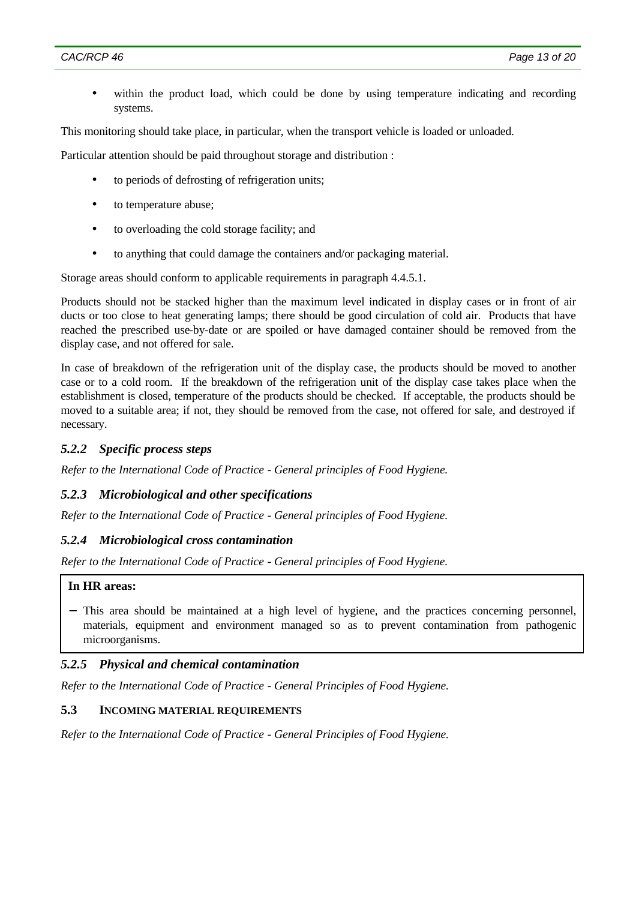within the product load, which could be done by using temperature indicating and recording systems.

This monitoring should take place, in particular, when the transport vehicle is loaded or unloaded.

Particular attention should be paid throughout storage and distribution :

- to periods of defrosting of refrigeration units;
- to temperature abuse;
- to overloading the cold storage facility; and
- to anything that could damage the containers and/or packaging material.

Storage areas should conform to applicable requirements in paragraph 4.4.5.1.

Products should not be stacked higher than the maximum level indicated in display cases or in front of air ducts or too close to heat generating lamps; there should be good circulation of cold air. Products that have reached the prescribed use-by-date or are spoiled or have damaged container should be removed from the display case, and not offered for sale.

In case of breakdown of the refrigeration unit of the display case, the products should be moved to another case or to a cold room. If the breakdown of the refrigeration unit of the display case takes place when the establishment is closed, temperature of the products should be checked. If acceptable, the products should be moved to a suitable area; if not, they should be removed from the case, not offered for sale, and destroyed if necessary.

#### *5.2.2 Specific process steps*

*Refer to the International Code of Practice - General principles of Food Hygiene.*

#### *5.2.3 Microbiological and other specifications*

*Refer to the International Code of Practice - General principles of Food Hygiene.*

#### *5.2.4 Microbiological cross contamination*

*Refer to the International Code of Practice - General principles of Food Hygiene.*

#### **In HR areas:**

− This area should be maintained at a high level of hygiene, and the practices concerning personnel, materials, equipment and environment managed so as to prevent contamination from pathogenic microorganisms.

#### *5.2.5 Physical and chemical contamination*

*Refer to the International Code of Practice - General Principles of Food Hygiene.*

#### **5.3 INCOMING MATERIAL REQUIREMENTS**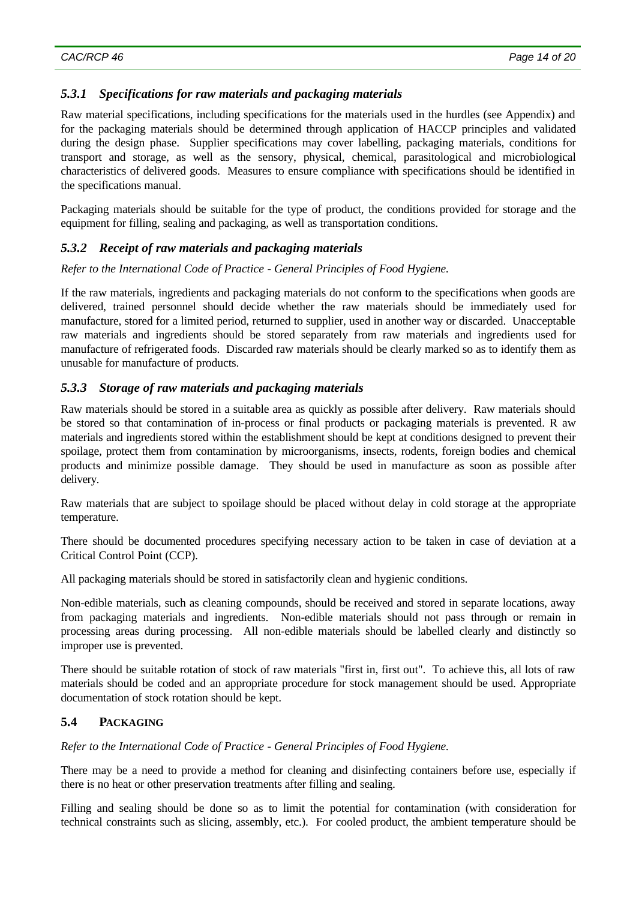## *5.3.1 Specifications for raw materials and packaging materials*

Raw material specifications, including specifications for the materials used in the hurdles (see Appendix) and for the packaging materials should be determined through application of HACCP principles and validated during the design phase. Supplier specifications may cover labelling, packaging materials, conditions for transport and storage, as well as the sensory, physical, chemical, parasitological and microbiological characteristics of delivered goods. Measures to ensure compliance with specifications should be identified in the specifications manual.

Packaging materials should be suitable for the type of product, the conditions provided for storage and the equipment for filling, sealing and packaging, as well as transportation conditions.

# *5.3.2 Receipt of raw materials and packaging materials*

*Refer to the International Code of Practice - General Principles of Food Hygiene.*

If the raw materials, ingredients and packaging materials do not conform to the specifications when goods are delivered, trained personnel should decide whether the raw materials should be immediately used for manufacture, stored for a limited period, returned to supplier, used in another way or discarded. Unacceptable raw materials and ingredients should be stored separately from raw materials and ingredients used for manufacture of refrigerated foods. Discarded raw materials should be clearly marked so as to identify them as unusable for manufacture of products.

## *5.3.3 Storage of raw materials and packaging materials*

Raw materials should be stored in a suitable area as quickly as possible after delivery. Raw materials should be stored so that contamination of in-process or final products or packaging materials is prevented. R aw materials and ingredients stored within the establishment should be kept at conditions designed to prevent their spoilage, protect them from contamination by microorganisms, insects, rodents, foreign bodies and chemical products and minimize possible damage. They should be used in manufacture as soon as possible after delivery.

Raw materials that are subject to spoilage should be placed without delay in cold storage at the appropriate temperature.

There should be documented procedures specifying necessary action to be taken in case of deviation at a Critical Control Point (CCP).

All packaging materials should be stored in satisfactorily clean and hygienic conditions.

Non-edible materials, such as cleaning compounds, should be received and stored in separate locations, away from packaging materials and ingredients. Non-edible materials should not pass through or remain in processing areas during processing. All non-edible materials should be labelled clearly and distinctly so improper use is prevented.

There should be suitable rotation of stock of raw materials "first in, first out". To achieve this, all lots of raw materials should be coded and an appropriate procedure for stock management should be used. Appropriate documentation of stock rotation should be kept.

## **5.4 PACKAGING**

*Refer to the International Code of Practice - General Principles of Food Hygiene.*

There may be a need to provide a method for cleaning and disinfecting containers before use, especially if there is no heat or other preservation treatments after filling and sealing.

Filling and sealing should be done so as to limit the potential for contamination (with consideration for technical constraints such as slicing, assembly, etc.). For cooled product, the ambient temperature should be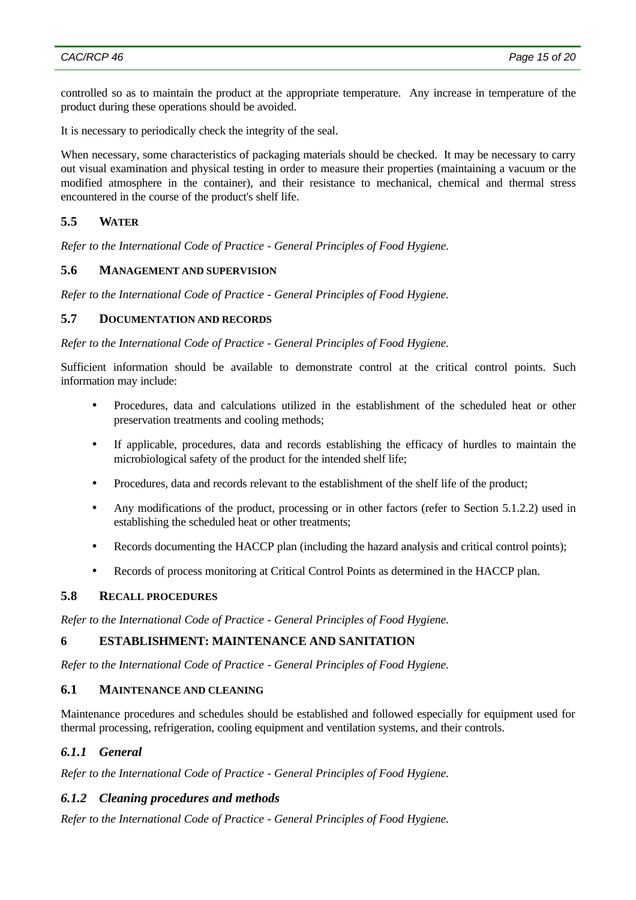controlled so as to maintain the product at the appropriate temperature. Any increase in temperature of the product during these operations should be avoided.

It is necessary to periodically check the integrity of the seal.

When necessary, some characteristics of packaging materials should be checked. It may be necessary to carry out visual examination and physical testing in order to measure their properties (maintaining a vacuum or the modified atmosphere in the container), and their resistance to mechanical, chemical and thermal stress encountered in the course of the product's shelf life.

## **5.5 WATER**

*Refer to the International Code of Practice - General Principles of Food Hygiene.*

### **5.6 MANAGEMENT AND SUPERVISION**

*Refer to the International Code of Practice - General Principles of Food Hygiene.*

#### **5.7 DOCUMENTATION AND RECORDS**

*Refer to the International Code of Practice - General Principles of Food Hygiene.*

Sufficient information should be available to demonstrate control at the critical control points. Such information may include:

- Procedures, data and calculations utilized in the establishment of the scheduled heat or other preservation treatments and cooling methods;
- If applicable, procedures, data and records establishing the efficacy of hurdles to maintain the microbiological safety of the product for the intended shelf life;
- Procedures, data and records relevant to the establishment of the shelf life of the product;
- Any modifications of the product, processing or in other factors (refer to Section 5.1.2.2) used in establishing the scheduled heat or other treatments;
- Records documenting the HACCP plan (including the hazard analysis and critical control points);
- Records of process monitoring at Critical Control Points as determined in the HACCP plan.

### **5.8 RECALL PROCEDURES**

*Refer to the International Code of Practice - General Principles of Food Hygiene.*

### **6 ESTABLISHMENT: MAINTENANCE AND SANITATION**

*Refer to the International Code of Practice - General Principles of Food Hygiene.*

#### **6.1 MAINTENANCE AND CLEANING**

Maintenance procedures and schedules should be established and followed especially for equipment used for thermal processing, refrigeration, cooling equipment and ventilation systems, and their controls.

### *6.1.1 General*

*Refer to the International Code of Practice - General Principles of Food Hygiene.*

#### *6.1.2 Cleaning procedures and methods*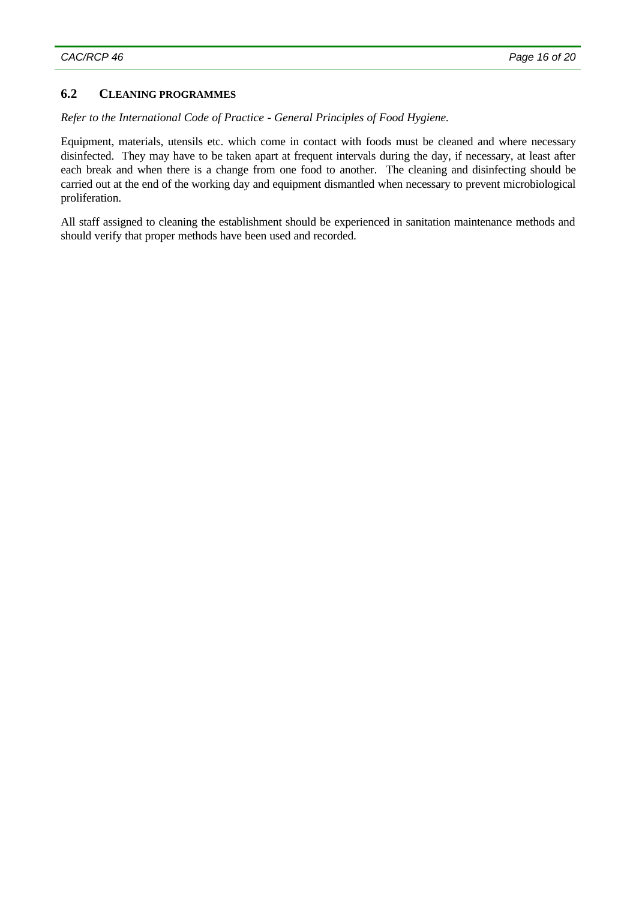## **6.2 CLEANING PROGRAMMES**

#### *Refer to the International Code of Practice - General Principles of Food Hygiene.*

Equipment, materials, utensils etc. which come in contact with foods must be cleaned and where necessary disinfected. They may have to be taken apart at frequent intervals during the day, if necessary, at least after each break and when there is a change from one food to another. The cleaning and disinfecting should be carried out at the end of the working day and equipment dismantled when necessary to prevent microbiological proliferation.

All staff assigned to cleaning the establishment should be experienced in sanitation maintenance methods and should verify that proper methods have been used and recorded.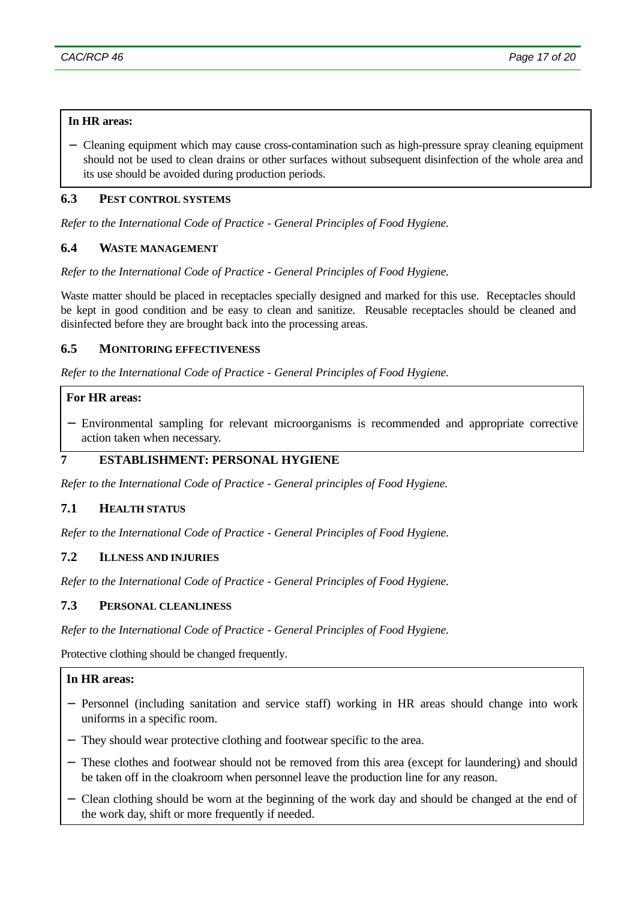### **In HR areas:**

− Cleaning equipment which may cause cross-contamination such as high-pressure spray cleaning equipment should not be used to clean drains or other surfaces without subsequent disinfection of the whole area and its use should be avoided during production periods.

### **6.3 PEST CONTROL SYSTEMS**

*Refer to the International Code of Practice - General Principles of Food Hygiene.*

## **6.4 WASTE MANAGEMENT**

*Refer to the International Code of Practice - General Principles of Food Hygiene.*

Waste matter should be placed in receptacles specially designed and marked for this use. Receptacles should be kept in good condition and be easy to clean and sanitize. Reusable receptacles should be cleaned and disinfected before they are brought back into the processing areas.

#### **6.5 MONITORING EFFECTIVENESS**

*Refer to the International Code of Practice - General Principles of Food Hygiene.*

## **For HR areas:**

− Environmental sampling for relevant microorganisms is recommended and appropriate corrective action taken when necessary.

### **7 ESTABLISHMENT: PERSONAL HYGIENE**

*Refer to the International Code of Practice - General principles of Food Hygiene.*

# **7.1 HEALTH STATUS**

*Refer to the International Code of Practice - General Principles of Food Hygiene.*

### **7.2 ILLNESS AND INJURIES**

*Refer to the International Code of Practice - General Principles of Food Hygiene.*

## **7.3 PERSONAL CLEANLINESS**

*Refer to the International Code of Practice - General Principles of Food Hygiene.*

Protective clothing should be changed frequently.

### **In HR areas:**

- − Personnel (including sanitation and service staff) working in HR areas should change into work uniforms in a specific room.
- − They should wear protective clothing and footwear specific to the area.
- − These clothes and footwear should not be removed from this area (except for laundering) and should be taken off in the cloakroom when personnel leave the production line for any reason.
- − Clean clothing should be worn at the beginning of the work day and should be changed at the end of the work day, shift or more frequently if needed.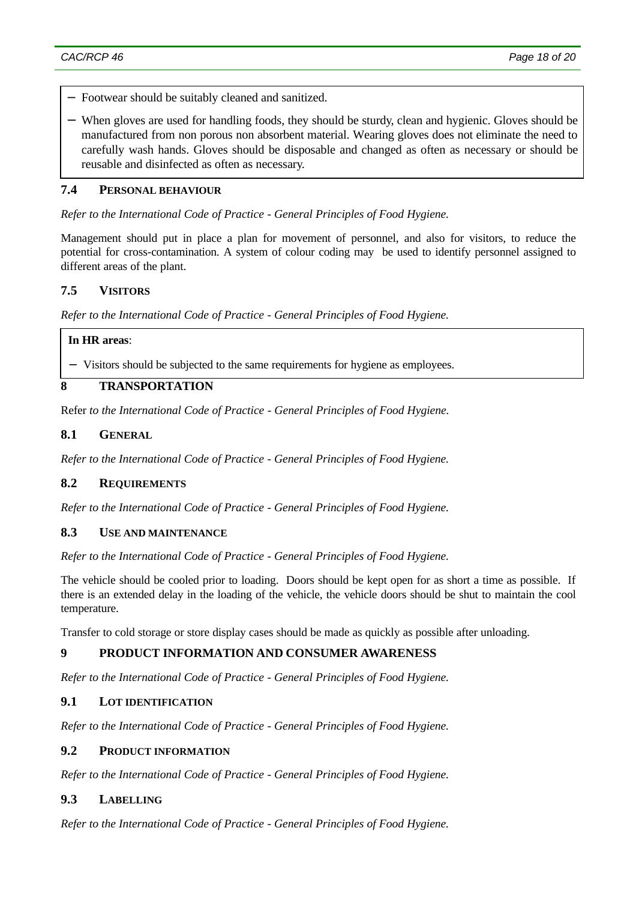- − Footwear should be suitably cleaned and sanitized.
- − When gloves are used for handling foods, they should be sturdy, clean and hygienic. Gloves should be manufactured from non porous non absorbent material. Wearing gloves does not eliminate the need to carefully wash hands. Gloves should be disposable and changed as often as necessary or should be reusable and disinfected as often as necessary.

### **7.4 PERSONAL BEHAVIOUR**

*Refer to the International Code of Practice - General Principles of Food Hygiene.*

Management should put in place a plan for movement of personnel, and also for visitors, to reduce the potential for cross-contamination. A system of colour coding may be used to identify personnel assigned to different areas of the plant.

## **7.5 VISITORS**

*Refer to the International Code of Practice - General Principles of Food Hygiene.*

#### **In HR areas**:

− Visitors should be subjected to the same requirements for hygiene as employees.

# **8 TRANSPORTATION**

Refer *to the International Code of Practice - General Principles of Food Hygiene.*

#### **8.1 GENERAL**

*Refer to the International Code of Practice - General Principles of Food Hygiene.*

#### **8.2 REQUIREMENTS**

*Refer to the International Code of Practice - General Principles of Food Hygiene.*

### **8.3 USE AND MAINTENANCE**

*Refer to the International Code of Practice - General Principles of Food Hygiene.*

The vehicle should be cooled prior to loading. Doors should be kept open for as short a time as possible. If there is an extended delay in the loading of the vehicle, the vehicle doors should be shut to maintain the cool temperature.

Transfer to cold storage or store display cases should be made as quickly as possible after unloading.

### **9 PRODUCT INFORMATION AND CONSUMER AWARENESS**

*Refer to the International Code of Practice - General Principles of Food Hygiene.*

#### **9.1 LOT IDENTIFICATION**

*Refer to the International Code of Practice - General Principles of Food Hygiene.*

#### **9.2 PRODUCT INFORMATION**

*Refer to the International Code of Practice - General Principles of Food Hygiene.*

#### **9.3 LABELLING**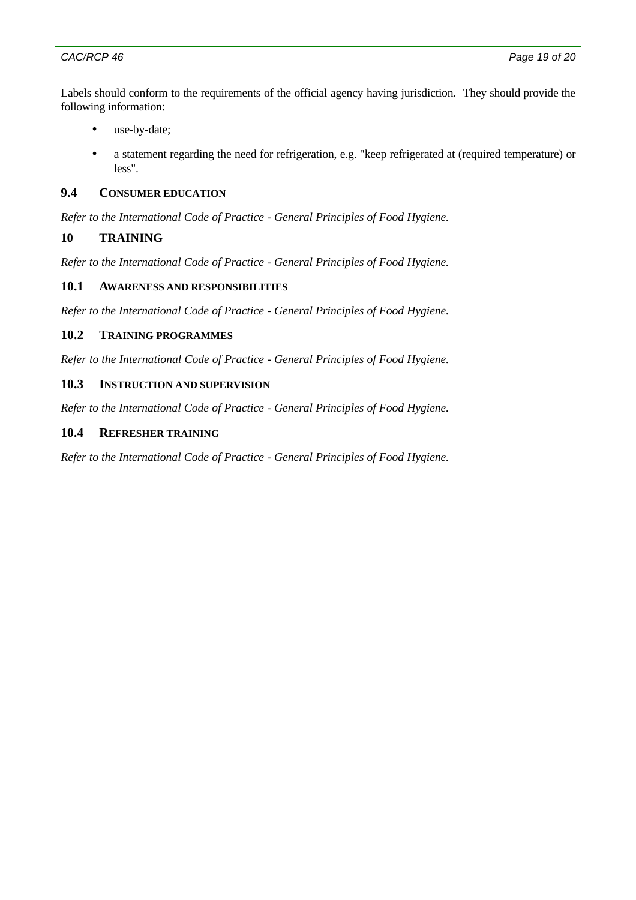Labels should conform to the requirements of the official agency having jurisdiction. They should provide the following information:

- use-by-date;
- a statement regarding the need for refrigeration, e.g. "keep refrigerated at (required temperature) or less".

### **9.4 CONSUMER EDUCATION**

*Refer to the International Code of Practice - General Principles of Food Hygiene.*

### **10 TRAINING**

*Refer to the International Code of Practice - General Principles of Food Hygiene.*

## **10.1 AWARENESS AND RESPONSIBILITIES**

*Refer to the International Code of Practice - General Principles of Food Hygiene.*

### **10.2 TRAINING PROGRAMMES**

*Refer to the International Code of Practice - General Principles of Food Hygiene.*

#### **10.3 INSTRUCTION AND SUPERVISION**

*Refer to the International Code of Practice - General Principles of Food Hygiene.*

#### **10.4 REFRESHER TRAINING**